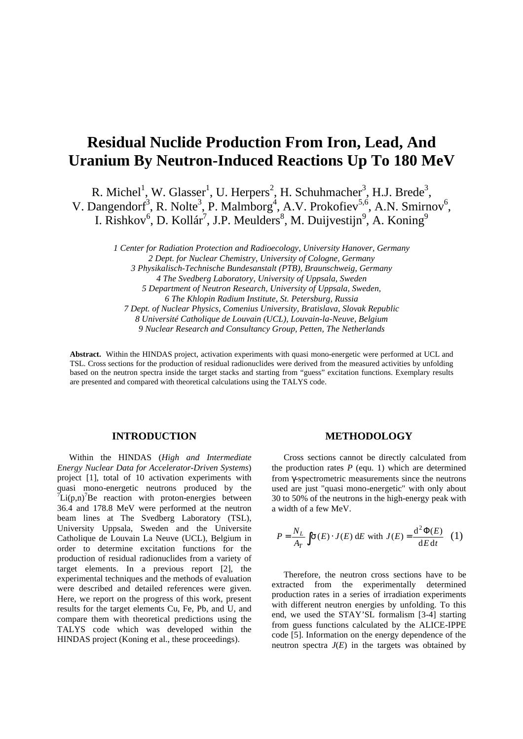# **Residual Nuclide Production From Iron, Lead, And Uranium By Neutron-Induced Reactions Up To 180 MeV**

R. Michel<sup>1</sup>, W. Glasser<sup>1</sup>, U. Herpers<sup>2</sup>, H. Schuhmacher<sup>3</sup>, H.J. Brede<sup>3</sup>, V. Dangendorf<sup>3</sup>, R. Nolte<sup>3</sup>, P. Malmborg<sup>4</sup>, A.V. Prokofiev<sup>5,6</sup>, A.N. Smirnov<sup>6</sup>, I. Rishkov<sup>6</sup>, D. Kollár<sup>7</sup>, J.P. Meulders<sup>8</sup>, M. Duijvestijn<sup>9</sup>, A. Koning<sup>9</sup>

> *1 Center for Radiation Protection and Radioecology, University Hanover, Germany 2 Dept. for Nuclear Chemistry, University of Cologne, Germany 3 Physikalisch-Technische Bundesanstalt (PTB), Braunschweig, Germany 4 The Svedberg Laboratory, University of Uppsala, Sweden 5 Department of Neutron Research, University of Uppsala, Sweden, 6 The Khlopin Radium Institute, St. Petersburg, Russia 7 Dept. of Nuclear Physics, Comenius University, Bratislava, Slovak Republic 8 Université Catholique de Louvain (UCL), Louvain-la-Neuve, Belgium 9 Nuclear Research and Consultancy Group, Petten, The Netherlands*

**Abstract.** Within the HINDAS project, activation experiments with quasi mono-energetic were performed at UCL and TSL. Cross sections for the production of residual radionuclides were derived from the measured activities by unfolding based on the neutron spectra inside the target stacks and starting from "guess" excitation functions. Exemplary results are presented and compared with theoretical calculations using the TALYS code.

## **INTRODUCTION**

Within the HINDAS (*High and Intermediate Energy Nuclear Data for Accelerator-Driven Systems*) project [1], total of 10 activation experiments with quasi mono-energetic neutrons produced by the  $U^7$ Li(p,n)<sup>7</sup>Be reaction with proton-energies between 36.4 and 178.8 MeV were performed at the neutron beam lines at The Svedberg Laboratory (TSL), University Uppsala, Sweden and the Universite Catholique de Louvain La Neuve (UCL), Belgium in order to determine excitation functions for the production of residual radionuclides from a variety of target elements. In a previous report [2], the experimental techniques and the methods of evaluation were described and detailed references were given. Here, we report on the progress of this work, present results for the target elements Cu, Fe, Pb, and U, and compare them with theoretical predictions using the TALYS code which was developed within the HINDAS project (Koning et al., these proceedings).

### **METHODOLOGY**

Cross sections cannot be directly calculated from the production rates  $P$  (equ. 1) which are determined from γ-spectrometric measurements since the neutrons used are just "quasi mono-energetic" with only about 30 to 50% of the neutrons in the high-energy peak with a width of a few MeV.

$$
P = \frac{N_L}{A_T} \int \mathbf{s}(E) \cdot J(E) dE \text{ with } J(E) = \frac{d^2 \Phi(E)}{dE dt} \quad (1)
$$

Therefore, the neutron cross sections have to be extracted from the experimentally determined production rates in a series of irradiation experiments with different neutron energies by unfolding. To this end, we used the STAY'SL formalism [3-4] starting from guess functions calculated by the ALICE-IPPE code [5]. Information on the energy dependence of the neutron spectra  $J(E)$  in the targets was obtained by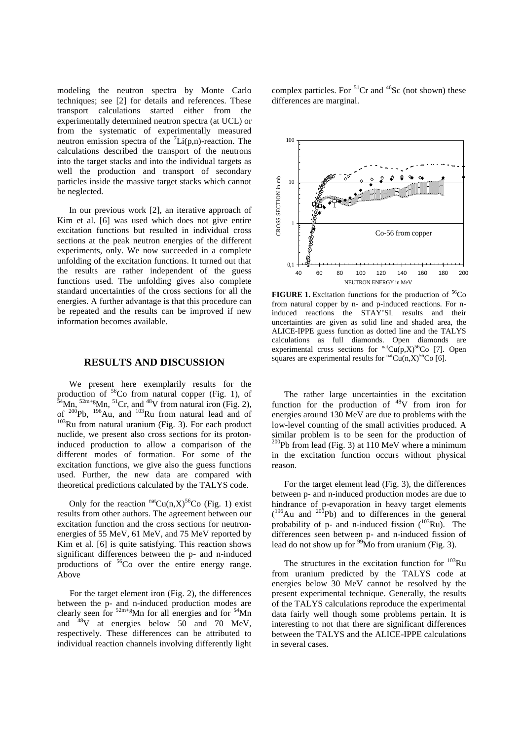modeling the neutron spectra by Monte Carlo techniques; see [2] for details and references. These transport calculations started either from the experimentally determined neutron spectra (at UCL) or from the systematic of experimentally measured neutron emission spectra of the  ${}^{7}Li(p,n)$ -reaction. The calculations described the transport of the neutrons into the target stacks and into the individual targets as well the production and transport of secondary particles inside the massive target stacks which cannot be neglected.

In our previous work [2], an iterative approach of Kim et al. [6] was used which does not give entire excitation functions but resulted in individual cross sections at the peak neutron energies of the different experiments, only. We now succeeded in a complete unfolding of the excitation functions. It turned out that the results are rather independent of the guess functions used. The unfolding gives also complete standard uncertainties of the cross sections for all the energies. A further advantage is that this procedure can be repeated and the results can be improved if new information becomes available.

### **RESULTS AND DISCUSSION**

We present here exemplarily results for the production of  $56C$ o from natural copper (Fig. 1), of  $54$ Mn,  $52m+g$ Mn,  $51Cr$ , and  $48V$  from natural iron (Fig. 2), of  $200Pb$ ,  $196Au$ , and  $103Ru$  from natural lead and of <sup>103</sup>Ru from natural uranium (Fig. 3). For each product nuclide, we present also cross sections for its protoninduced production to allow a comparison of the different modes of formation. For some of the excitation functions, we give also the guess functions used. Further, the new data are compared with theoretical predictions calculated by the TALYS code.

Only for the reaction  $<sup>nat</sup>Cu(n,X)<sup>56</sup>Co$  (Fig. 1) exist</sup> results from other authors. The agreement between our excitation function and the cross sections for neutronenergies of 55 MeV, 61 MeV, and 75 MeV reported by Kim et al. [6] is quite satisfying. This reaction shows significant differences between the p- and n-induced productions of <sup>56</sup>Co over the entire energy range. **Above** 

For the target element iron (Fig. 2), the differences between the p- and n-induced production modes are clearly seen for  $52m+g$ Mn for all energies and for  $54Mn$ and <sup>48</sup>V at energies below 50 and 70 MeV, respectively. These differences can be attributed to individual reaction channels involving differently light complex particles. For  ${}^{51}Cr$  and  ${}^{46}Sc$  (not shown) these differences are marginal.



**FIGURE 1.** Excitation functions for the production of  ${}^{56}Co$ from natural copper by n- and p-induced reactions. For ninduced reactions the STAY'SL results and their uncertainties are given as solid line and shaded area, the ALICE-IPPE guess function as dotted line and the TALYS calculations as full diamonds. Open diamonds are experimental cross sections for  $<sup>nat</sup>Cu(p,X)<sup>56</sup>Co$  [7]. Open</sup> squares are experimental results for  $<sup>nat</sup>Cu(n,X)<sup>56</sup>Co[6]$ .</sup>

The rather large uncertainties in the excitation function for the production of  $48V$  from iron for energies around 130 MeV are due to problems with the low-level counting of the small activities produced. A similar problem is to be seen for the production of  $200Pb$  from lead (Fig. 3) at 110 MeV where a minimum in the excitation function occurs without physical reason.

For the target element lead (Fig. 3), the differences between p- and n-induced production modes are due to hindrance of p-evaporation in heavy target elements  $(196)$ Au and  $200$ Pb) and to differences in the general probability of p- and n-induced fission  $(^{103}Ru)$ . The differences seen between p- and n-induced fission of lead do not show up for  $\frac{99}{9}$ Mo from uranium (Fig. 3).

The structures in the excitation function for  $103$ Ru from uranium predicted by the TALYS code at energies below 30 MeV cannot be resolved by the present experimental technique. Generally, the results of the TALYS calculations reproduce the experimental data fairly well though some problems pertain. It is interesting to not that there are significant differences between the TALYS and the ALICE-IPPE calculations in several cases.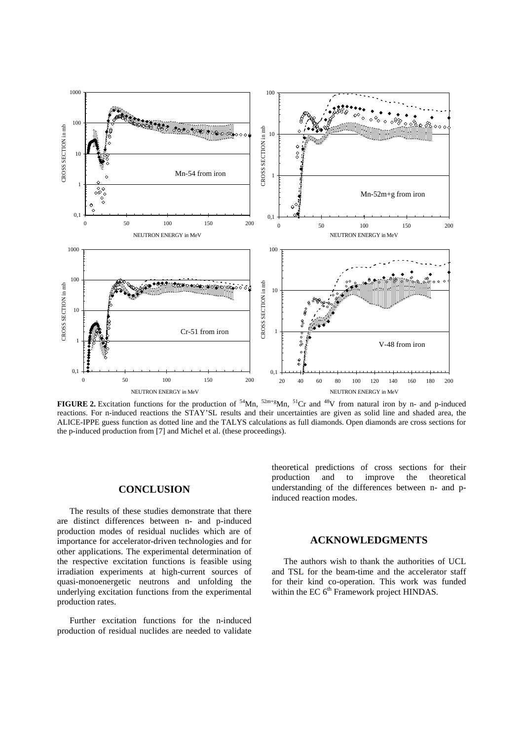

**FIGURE 2.** Excitation functions for the production of  $54$ Mn,  $52m+g$ Mn,  $51Cr$  and  $48V$  from natural iron by n- and p-induced reactions. For n-induced reactions the STAY'SL results and their uncertainties are given as solid line and shaded area, the ALICE-IPPE guess function as dotted line and the TALYS calculations as full diamonds. Open diamonds are cross sections for the p-induced production from [7] and Michel et al. (these proceedings).

## **CONCLUSION**

The results of these studies demonstrate that there are distinct differences between n- and p-induced production modes of residual nuclides which are of importance for accelerator-driven technologies and for other applications. The experimental determination of the respective excitation functions is feasible using irradiation experiments at high-current sources of quasi-monoenergetic neutrons and unfolding the underlying excitation functions from the experimental production rates.

Further excitation functions for the n-induced production of residual nuclides are needed to validate

theoretical predictions of cross sections for their production and to improve the theoretical understanding of the differences between n- and pinduced reaction modes.

## **ACKNOWLEDGMENTS**

The authors wish to thank the authorities of UCL and TSL for the beam-time and the accelerator staff for their kind co-operation. This work was funded within the EC 6<sup>th</sup> Framework project HINDAS.